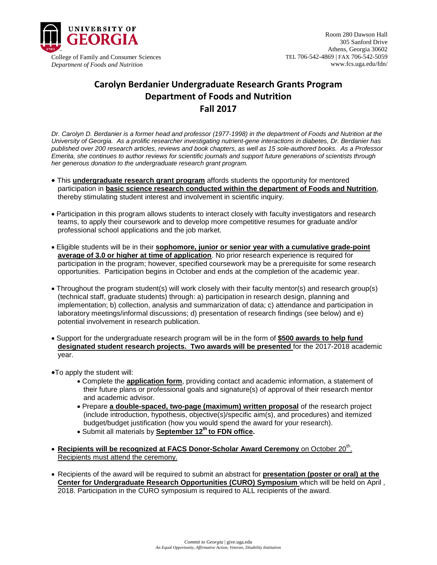

## **Carolyn Berdanier Undergraduate Research Grants Program Department of Foods and Nutrition Fall 2017**

*Dr. Carolyn D. Berdanier is a former head and professor (1977-1998) in the department of Foods and Nutrition at the University of Georgia. As a prolific researcher investigating nutrient-gene interactions in diabetes, Dr. Berdanier has published over 200 research articles, reviews and book chapters, as well as 15 sole-authored books. As a Professor Emerita, she continues to author reviews for scientific journals and support future generations of scientists through her generous donation to the undergraduate research grant program.*

- This **undergraduate research grant program** affords students the opportunity for mentored participation in **basic science research conducted within the department of Foods and Nutrition**, thereby stimulating student interest and involvement in scientific inquiry.
- Participation in this program allows students to interact closely with faculty investigators and research teams, to apply their coursework and to develop more competitive resumes for graduate and/or professional school applications and the job market.
- Eligible students will be in their **sophomore, junior or senior year with a cumulative grade-point average of 3.0 or higher at time of application**. No prior research experience is required for participation in the program; however, specified coursework may be a prerequisite for some research opportunities. Participation begins in October and ends at the completion of the academic year.
- Throughout the program student(s) will work closely with their faculty mentor(s) and research group(s) (technical staff, graduate students) through: a) participation in research design, planning and implementation; b) collection, analysis and summarization of data; c) attendance and participation in laboratory meetings/informal discussions; d) presentation of research findings (see below) and e) potential involvement in research publication.
- Support for the undergraduate research program will be in the form of **\$500 awards to help fund designated student research projects. Two awards will be presented** for the 2017-2018 academic year.
- •To apply the student will:
	- Complete the **application form**, providing contact and academic information, a statement of their future plans or professional goals and signature(s) of approval of their research mentor and academic advisor.
	- Prepare **a double-spaced, two-page (maximum) written proposal** of the research project (include introduction, hypothesis, objective(s)/specific aim(s), and procedures) and itemized budget/budget justification (how you would spend the award for your research).
	- Submit all materials by **September 12th to FDN office.**
- **Recipients will be recognized at FACS Donor-Scholar Award Ceremony** on October 20<sup>th</sup>. Recipients must attend the ceremony.
- Recipients of the award will be required to submit an abstract for **presentation (poster or oral) at the Center for Undergraduate Research Opportunities (CURO) Symposium** which will be held on April , 2018. Participation in the CURO symposium is required to ALL recipients of the award.